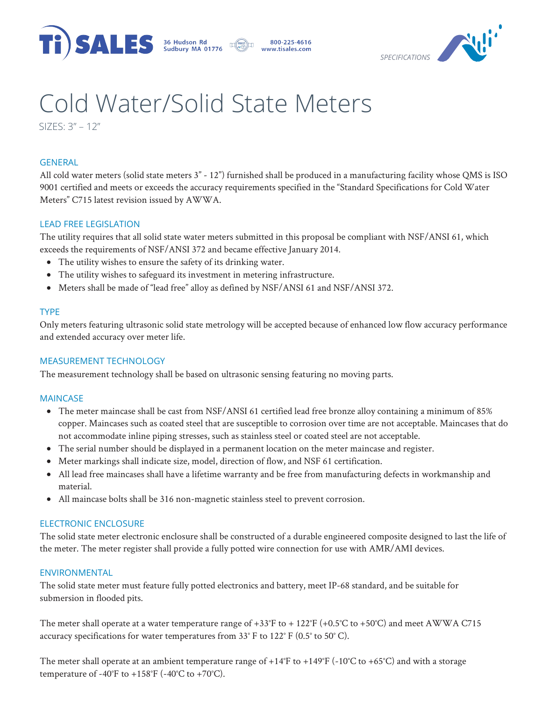





# Cold Water/Solid State Meters

SIZES: 3" – 12"

# **GENERAL**

All cold water meters (solid state meters 3" - 12") furnished shall be produced in a manufacturing facility whose QMS is ISO 9001 certified and meets or exceeds the accuracy requirements specified in the "Standard Specifications for Cold Water Meters" C715 latest revision issued by AWWA.

# LEAD FREE LEGISLATION

The utility requires that all solid state water meters submitted in this proposal be compliant with NSF/ANSI 61, which exceeds the requirements of NSF/ANSI 372 and became effective January 2014.

- The utility wishes to ensure the safety of its drinking water.
- The utility wishes to safeguard its investment in metering infrastructure.
- Meters shall be made of "lead free" alloy as defined by NSF/ANSI 61 and NSF/ANSI 372.

## TYPE

Only meters featuring ultrasonic solid state metrology will be accepted because of enhanced low flow accuracy performance and extended accuracy over meter life.

### MEASUREMENT TECHNOLOGY

The measurement technology shall be based on ultrasonic sensing featuring no moving parts.

### MAINCASE

- The meter maincase shall be cast from NSF/ANSI 61 certified lead free bronze alloy containing a minimum of 85% copper. Maincases such as coated steel that are susceptible to corrosion over time are not acceptable. Maincases that do not accommodate inline piping stresses, such as stainless steel or coated steel are not acceptable.
- The serial number should be displayed in a permanent location on the meter maincase and register.
- Meter markings shall indicate size, model, direction of flow, and NSF 61 certification.
- All lead free maincases shall have a lifetime warranty and be free from manufacturing defects in workmanship and material.
- All maincase bolts shall be 316 non-magnetic stainless steel to prevent corrosion.

# ELECTRONIC ENCLOSURE

The solid state meter electronic enclosure shall be constructed of a durable engineered composite designed to last the life of the meter. The meter register shall provide a fully potted wire connection for use with AMR/AMI devices.

### ENVIRONMENTAL

The solid state meter must feature fully potted electronics and battery, meet IP-68 standard, and be suitable for submersion in flooded pits.

The meter shall operate at a water temperature range of  $+33^{\circ}F$  to  $+122^{\circ}F (+0.5^{\circ}C \text{ to } +50^{\circ}C)$  and meet AWWA C715 accuracy specifications for water temperatures from 33° F to 122° F (0.5° to 50° C).

The meter shall operate at an ambient temperature range of +14°F to +149°F (-10°C to +65°C) and with a storage temperature of -40°F to +158°F (-40°C to +70°C).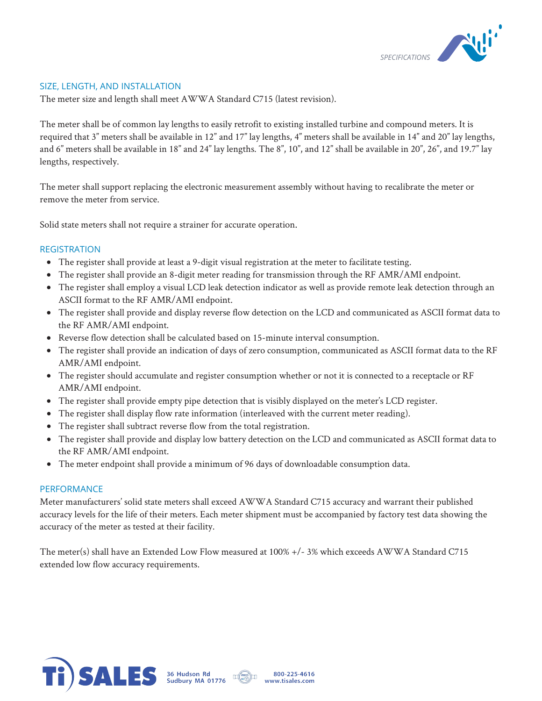

### SIZE, LENGTH, AND INSTALLATION

The meter size and length shall meet AWWA Standard C715 (latest revision).

The meter shall be of common lay lengths to easily retrofit to existing installed turbine and compound meters. It is required that 3" meters shall be available in 12" and 17" lay lengths, 4" meters shall be available in 14" and 20" lay lengths, and 6" meters shall be available in 18" and 24" lay lengths. The 8", 10", and 12" shall be available in 20", 26", and 19.7" lay lengths, respectively.

The meter shall support replacing the electronic measurement assembly without having to recalibrate the meter or remove the meter from service.

Solid state meters shall not require a strainer for accurate operation.

#### REGISTRATION

- The register shall provide at least a 9-digit visual registration at the meter to facilitate testing.
- The register shall provide an 8-digit meter reading for transmission through the RF AMR/AMI endpoint.
- The register shall employ a visual LCD leak detection indicator as well as provide remote leak detection through an ASCII format to the RF AMR/AMI endpoint.
- The register shall provide and display reverse flow detection on the LCD and communicated as ASCII format data to the RF AMR/AMI endpoint.
- Reverse flow detection shall be calculated based on 15-minute interval consumption.
- The register shall provide an indication of days of zero consumption, communicated as ASCII format data to the RF AMR/AMI endpoint.
- The register should accumulate and register consumption whether or not it is connected to a receptacle or RF AMR/AMI endpoint.
- The register shall provide empty pipe detection that is visibly displayed on the meter's LCD register.
- The register shall display flow rate information (interleaved with the current meter reading).
- The register shall subtract reverse flow from the total registration.
- The register shall provide and display low battery detection on the LCD and communicated as ASCII format data to the RF AMR/AMI endpoint.
- The meter endpoint shall provide a minimum of 96 days of downloadable consumption data.

#### **PERFORMANCE**

Meter manufacturers' solid state meters shall exceed AWWA Standard C715 accuracy and warrant their published accuracy levels for the life of their meters. Each meter shipment must be accompanied by factory test data showing the accuracy of the meter as tested at their facility.

The meter(s) shall have an Extended Low Flow measured at 100% +/- 3% which exceeds AWWA Standard C715 extended low flow accuracy requirements.